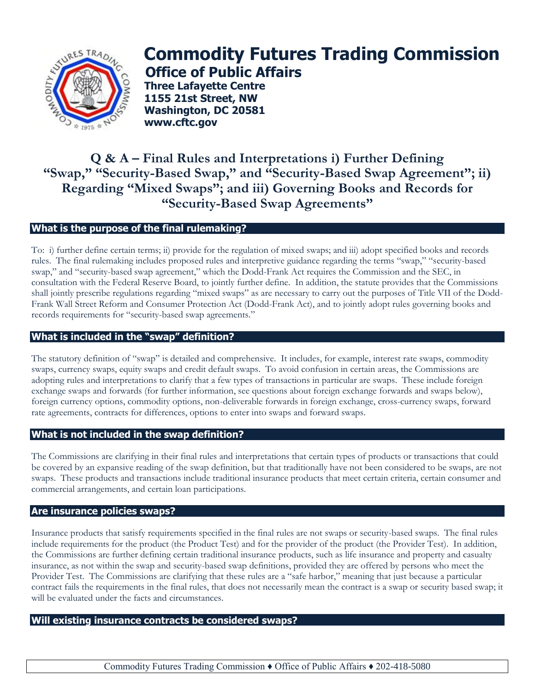

# **Commodity Futures Trading Commission Office of Public Affairs**

**Three Lafayette Centre 1155 21st Street, NW Washington, DC 20581 www.cftc.gov**

# **Q & A – Final Rules and Interpretations i) Further Defining "Swap," "Security-Based Swap," and "Security-Based Swap Agreement"; ii) Regarding "Mixed Swaps"; and iii) Governing Books and Records for "Security-Based Swap Agreements"**

# **What is the purpose of the final rulemaking?**

To: i) further define certain terms; ii) provide for the regulation of mixed swaps; and iii) adopt specified books and records rules. The final rulemaking includes proposed rules and interpretive guidance regarding the terms "swap," "security-based swap," and "security-based swap agreement," which the Dodd-Frank Act requires the Commission and the SEC, in consultation with the Federal Reserve Board, to jointly further define. In addition, the statute provides that the Commissions shall jointly prescribe regulations regarding "mixed swaps" as are necessary to carry out the purposes of Title VII of the Dodd-Frank Wall Street Reform and Consumer Protection Act (Dodd-Frank Act), and to jointly adopt rules governing books and records requirements for "security-based swap agreements."

# **What is included in the "swap" definition?**

The statutory definition of "swap" is detailed and comprehensive. It includes, for example, interest rate swaps, commodity swaps, currency swaps, equity swaps and credit default swaps. To avoid confusion in certain areas, the Commissions are adopting rules and interpretations to clarify that a few types of transactions in particular are swaps. These include foreign exchange swaps and forwards (for further information, see questions about foreign exchange forwards and swaps below), foreign currency options, commodity options, non-deliverable forwards in foreign exchange, cross-currency swaps, forward rate agreements, contracts for differences, options to enter into swaps and forward swaps.

# **What is not included in the swap definition?**

The Commissions are clarifying in their final rules and interpretations that certain types of products or transactions that could be covered by an expansive reading of the swap definition, but that traditionally have not been considered to be swaps, are not swaps. These products and transactions include traditional insurance products that meet certain criteria, certain consumer and commercial arrangements, and certain loan participations.

# **Are insurance policies swaps?**

Insurance products that satisfy requirements specified in the final rules are not swaps or security-based swaps. The final rules include requirements for the product (the Product Test) and for the provider of the product (the Provider Test). In addition, the Commissions are further defining certain traditional insurance products, such as life insurance and property and casualty insurance, as not within the swap and security-based swap definitions, provided they are offered by persons who meet the Provider Test. The Commissions are clarifying that these rules are a "safe harbor," meaning that just because a particular contract fails the requirements in the final rules, that does not necessarily mean the contract is a swap or security based swap; it will be evaluated under the facts and circumstances.

# **Will existing insurance contracts be considered swaps?**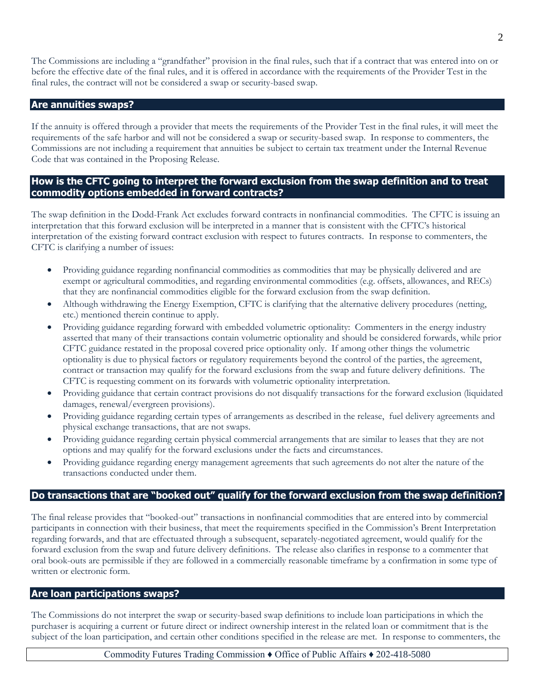The Commissions are including a "grandfather" provision in the final rules, such that if a contract that was entered into on or before the effective date of the final rules, and it is offered in accordance with the requirements of the Provider Test in the final rules, the contract will not be considered a swap or security-based swap.

#### **Are annuities swaps?**

If the annuity is offered through a provider that meets the requirements of the Provider Test in the final rules, it will meet the requirements of the safe harbor and will not be considered a swap or security-based swap. In response to commenters, the Commissions are not including a requirement that annuities be subject to certain tax treatment under the Internal Revenue Code that was contained in the Proposing Release.

#### **How is the CFTC going to interpret the forward exclusion from the swap definition and to treat commodity options embedded in forward contracts?**

The swap definition in the Dodd-Frank Act excludes forward contracts in nonfinancial commodities. The CFTC is issuing an interpretation that this forward exclusion will be interpreted in a manner that is consistent with the CFTC's historical interpretation of the existing forward contract exclusion with respect to futures contracts. In response to commenters, the CFTC is clarifying a number of issues:

- Providing guidance regarding nonfinancial commodities as commodities that may be physically delivered and are exempt or agricultural commodities, and regarding environmental commodities (e.g. offsets, allowances, and RECs) that they are nonfinancial commodities eligible for the forward exclusion from the swap definition.
- Although withdrawing the Energy Exemption, CFTC is clarifying that the alternative delivery procedures (netting, etc.) mentioned therein continue to apply.
- Providing guidance regarding forward with embedded volumetric optionality: Commenters in the energy industry asserted that many of their transactions contain volumetric optionality and should be considered forwards, while prior CFTC guidance restated in the proposal covered price optionality only. If among other things the volumetric optionality is due to physical factors or regulatory requirements beyond the control of the parties, the agreement, contract or transaction may qualify for the forward exclusions from the swap and future delivery definitions. The CFTC is requesting comment on its forwards with volumetric optionality interpretation.
- Providing guidance that certain contract provisions do not disqualify transactions for the forward exclusion (liquidated damages, renewal/evergreen provisions).
- Providing guidance regarding certain types of arrangements as described in the release, fuel delivery agreements and physical exchange transactions, that are not swaps.
- Providing guidance regarding certain physical commercial arrangements that are similar to leases that they are not options and may qualify for the forward exclusions under the facts and circumstances.
- Providing guidance regarding energy management agreements that such agreements do not alter the nature of the transactions conducted under them.

#### **Do transactions that are "booked out" qualify for the forward exclusion from the swap definition?**

The final release provides that "booked-out" transactions in nonfinancial commodities that are entered into by commercial participants in connection with their business, that meet the requirements specified in the Commission's Brent Interpretation regarding forwards, and that are effectuated through a subsequent, separately-negotiated agreement, would qualify for the forward exclusion from the swap and future delivery definitions. The release also clarifies in response to a commenter that oral book-outs are permissible if they are followed in a commercially reasonable timeframe by a confirmation in some type of written or electronic form.

#### **Are loan participations swaps?**

The Commissions do not interpret the swap or security-based swap definitions to include loan participations in which the purchaser is acquiring a current or future direct or indirect ownership interest in the related loan or commitment that is the subject of the loan participation, and certain other conditions specified in the release are met. In response to commenters, the

Commodity Futures Trading Commission ♦ Office of Public Affairs ♦ 202-418-5080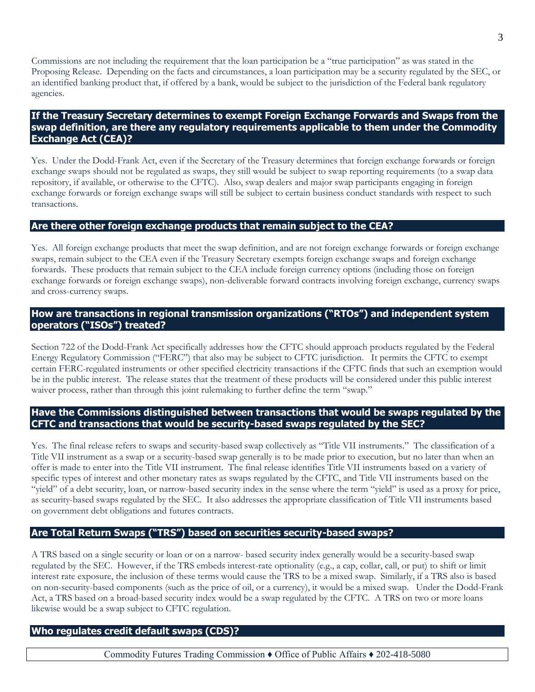Commissions are not including the requirement that the loan participation be a "true participation" as was stated in the Proposing Release. Depending on the facts and circumstances, a loan participation may be a security regulated by the SEC, or an identified banking product that, if offered by a bank, would be subject to the jurisdiction of the Federal bank regulatory agencies.

# **If the Treasury Secretary determines to exempt Foreign Exchange Forwards and Swaps from the swap definition, are there any regulatory requirements applicable to them under the Commodity Exchange Act (CEA)?**

Yes. Under the Dodd-Frank Act, even if the Secretary of the Treasury determines that foreign exchange forwards or foreign exchange swaps should not be regulated as swaps, they still would be subject to swap reporting requirements (to a swap data repository, if available, or otherwise to the CFTC). Also, swap dealers and major swap participants engaging in foreign exchange forwards or foreign exchange swaps will still be subject to certain business conduct standards with respect to such transactions.

# **Are there other foreign exchange products that remain subject to the CEA?**

Yes. All foreign exchange products that meet the swap definition, and are not foreign exchange forwards or foreign exchange swaps, remain subject to the CEA even if the Treasury Secretary exempts foreign exchange swaps and foreign exchange forwards. These products that remain subject to the CEA include foreign currency options (including those on foreign exchange forwards or foreign exchange swaps), non-deliverable forward contracts involving foreign exchange, currency swaps and cross-currency swaps.

#### **How are transactions in regional transmission organizations ("RTOs") and independent system operators ("ISOs") treated?**

Section 722 of the Dodd-Frank Act specifically addresses how the CFTC should approach products regulated by the Federal Energy Regulatory Commission ("FERC") that also may be subject to CFTC jurisdiction. It permits the CFTC to exempt certain FERC-regulated instruments or other specified electricity transactions if the CFTC finds that such an exemption would be in the public interest. The release states that the treatment of these products will be considered under this public interest waiver process, rather than through this joint rulemaking to further define the term "swap."

#### **Have the Commissions distinguished between transactions that would be swaps regulated by the CFTC and transactions that would be security-based swaps regulated by the SEC?**

Yes. The final release refers to swaps and security-based swap collectively as "Title VII instruments." The classification of a Title VII instrument as a swap or a security-based swap generally is to be made prior to execution, but no later than when an offer is made to enter into the Title VII instrument. The final release identifies Title VII instruments based on a variety of specific types of interest and other monetary rates as swaps regulated by the CFTC, and Title VII instruments based on the "yield" of a debt security, loan, or narrow-based security index in the sense where the term "yield" is used as a proxy for price, as security-based swaps regulated by the SEC. It also addresses the appropriate classification of Title VII instruments based on government debt obligations and futures contracts.

# **Are Total Return Swaps ("TRS") based on securities security-based swaps?**

A TRS based on a single security or loan or on a narrow- based security index generally would be a security-based swap regulated by the SEC. However, if the TRS embeds interest-rate optionality (e.g., a cap, collar, call, or put) to shift or limit interest rate exposure, the inclusion of these terms would cause the TRS to be a mixed swap. Similarly, if a TRS also is based on non-security-based components (such as the price of oil, or a currency), it would be a mixed swap. Under the Dodd-Frank Act, a TRS based on a broad-based security index would be a swap regulated by the CFTC. A TRS on two or more loans likewise would be a swap subject to CFTC regulation.

#### **Who regulates credit default swaps (CDS)?**

Commodity Futures Trading Commission ♦ Office of Public Affairs ♦ 202-418-5080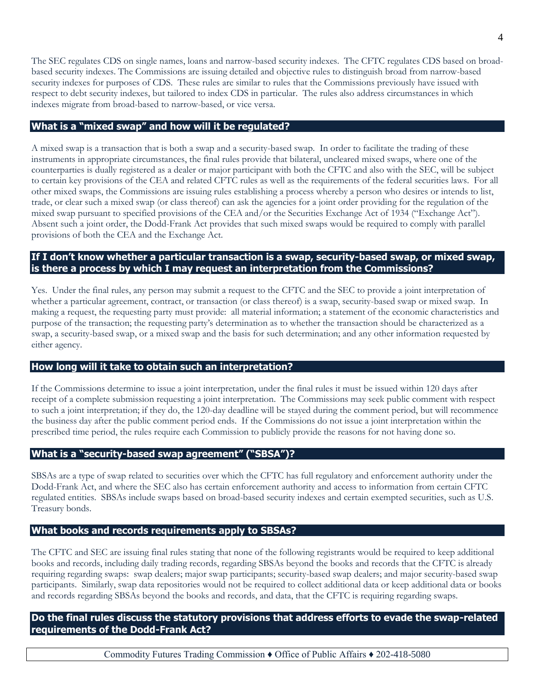The SEC regulates CDS on single names, loans and narrow-based security indexes. The CFTC regulates CDS based on broadbased security indexes. The Commissions are issuing detailed and objective rules to distinguish broad from narrow-based security indexes for purposes of CDS. These rules are similar to rules that the Commissions previously have issued with respect to debt security indexes, but tailored to index CDS in particular. The rules also address circumstances in which indexes migrate from broad-based to narrow-based, or vice versa.

# **What is a "mixed swap" and how will it be regulated?**

A mixed swap is a transaction that is both a swap and a security-based swap. In order to facilitate the trading of these instruments in appropriate circumstances, the final rules provide that bilateral, uncleared mixed swaps, where one of the counterparties is dually registered as a dealer or major participant with both the CFTC and also with the SEC, will be subject to certain key provisions of the CEA and related CFTC rules as well as the requirements of the federal securities laws. For all other mixed swaps, the Commissions are issuing rules establishing a process whereby a person who desires or intends to list, trade, or clear such a mixed swap (or class thereof) can ask the agencies for a joint order providing for the regulation of the mixed swap pursuant to specified provisions of the CEA and/or the Securities Exchange Act of 1934 ("Exchange Act"). Absent such a joint order, the Dodd-Frank Act provides that such mixed swaps would be required to comply with parallel provisions of both the CEA and the Exchange Act.

# **If I don't know whether a particular transaction is a swap, security-based swap, or mixed swap, is there a process by which I may request an interpretation from the Commissions?**

Yes. Under the final rules, any person may submit a request to the CFTC and the SEC to provide a joint interpretation of whether a particular agreement, contract, or transaction (or class thereof) is a swap, security-based swap or mixed swap. In making a request, the requesting party must provide: all material information; a statement of the economic characteristics and purpose of the transaction; the requesting party's determination as to whether the transaction should be characterized as a swap, a security-based swap, or a mixed swap and the basis for such determination; and any other information requested by either agency.

# **How long will it take to obtain such an interpretation?**

If the Commissions determine to issue a joint interpretation, under the final rules it must be issued within 120 days after receipt of a complete submission requesting a joint interpretation. The Commissions may seek public comment with respect to such a joint interpretation; if they do, the 120-day deadline will be stayed during the comment period, but will recommence the business day after the public comment period ends. If the Commissions do not issue a joint interpretation within the prescribed time period, the rules require each Commission to publicly provide the reasons for not having done so.

#### **What is a "security-based swap agreement" ("SBSA")?**

SBSAs are a type of swap related to securities over which the CFTC has full regulatory and enforcement authority under the Dodd-Frank Act, and where the SEC also has certain enforcement authority and access to information from certain CFTC regulated entities. SBSAs include swaps based on broad-based security indexes and certain exempted securities, such as U.S. Treasury bonds.

# **What books and records requirements apply to SBSAs?**

The CFTC and SEC are issuing final rules stating that none of the following registrants would be required to keep additional books and records, including daily trading records, regarding SBSAs beyond the books and records that the CFTC is already requiring regarding swaps: swap dealers; major swap participants; security-based swap dealers; and major security-based swap participants. Similarly, swap data repositories would not be required to collect additional data or keep additional data or books and records regarding SBSAs beyond the books and records, and data, that the CFTC is requiring regarding swaps.

# **Do the final rules discuss the statutory provisions that address efforts to evade the swap-related requirements of the Dodd-Frank Act?**

Commodity Futures Trading Commission ♦ Office of Public Affairs ♦ 202-418-5080